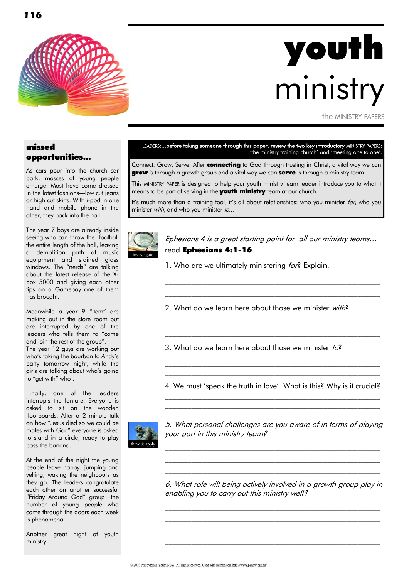

# youth ministry

the MINISTRY PAPERS

## missed opportunities...

As cars pour into the church car park, masses of young people emerge. Most have come dressed in the latest fashions—low cut jeans or high cut skirts. With i-pod in one hand and mobile phone in the other, they pack into the hall.

The year 7 boys are already inside seeing who can throw the football the entire length of the hall, leaving a demolition path of music equipment and stained glass windows. The "nerds" are talking about the latest release of the Xbox 5000 and giving each other tips on a Gameboy one of them has brought.

Meanwhile a year 9 "item" are making out in the store room but are interrupted by one of the leaders who tells them to "come and join the rest of the group". The year 12 guys are working out who's taking the bourbon to Andy's party tomorrow night, while the girls are talking about who"s going to "get with" who .

Finally, one of the leaders interrupts the fanfare. Everyone is asked to sit on the wooden floorboards. After a 2 minute talk on how "Jesus died so we could be mates with God" everyone is asked to stand in a circle, ready to play pass the banana.

At the end of the night the young people leave happy: jumping and yelling, waking the neighbours as they go. The leaders congratulate each other on another successful "Friday Around God" group—the number of young people who come through the doors each week is phenomenal.

Another great night of youth ministry.

LEADERS:...before taking someone through this paper, review the two key introductory MINISTRY PAPERS: 'the ministry training church' and 'meeting one to one'.

Connect. Grow. Serve. After **connecting** to God through trusting in Christ, a vital way we can **grow** is through a growth group and a vital way we can **serve** is through a ministry team.

This MINISTRY PAPER is designed to help your youth ministry team leader introduce you to what it means to be part of serving in the **youth ministry** team at our church.

It's much more than a training tool, it's all about relationships: who you minister for, who you minister with, and who you minister to...



Ephesians 4 is a great starting point for all our ministry teams… read Ephesians 4:1-16

\_\_\_\_\_\_\_\_\_\_\_\_\_\_\_\_\_\_\_\_\_\_\_\_\_\_\_\_\_\_\_\_\_\_\_\_\_\_\_\_\_\_\_\_\_\_\_\_\_\_\_\_\_\_\_\_\_ \_\_\_\_\_\_\_\_\_\_\_\_\_\_\_\_\_\_\_\_\_\_\_\_\_\_\_\_\_\_\_\_\_\_\_\_\_\_\_\_\_\_\_\_\_\_\_\_\_\_\_\_\_\_\_\_\_

\_\_\_\_\_\_\_\_\_\_\_\_\_\_\_\_\_\_\_\_\_\_\_\_\_\_\_\_\_\_\_\_\_\_\_\_\_\_\_\_\_\_\_\_\_\_\_\_\_\_\_\_\_\_\_\_\_ \_\_\_\_\_\_\_\_\_\_\_\_\_\_\_\_\_\_\_\_\_\_\_\_\_\_\_\_\_\_\_\_\_\_\_\_\_\_\_\_\_\_\_\_\_\_\_\_\_\_\_\_\_\_\_\_\_

1. Who are we ultimately ministering for? Explain.

2. What do we learn here about those we minister with?

3. What do we learn here about those we minister  $to^2$ 

4. We must 'speak the truth in love'. What is this? Why is it crucial?  $\mathcal{L}_\text{max}$  and the contract of the contract of the contract of the contract of the contract of the contract of

\_\_\_\_\_\_\_\_\_\_\_\_\_\_\_\_\_\_\_\_\_\_\_\_\_\_\_\_\_\_\_\_\_\_\_\_\_\_\_\_\_\_\_\_\_\_\_\_\_\_\_\_\_\_\_\_\_

 $\mathcal{L}_\text{max}$  and the contract of the contract of the contract of the contract of the contract of the contract of \_\_\_\_\_\_\_\_\_\_\_\_\_\_\_\_\_\_\_\_\_\_\_\_\_\_\_\_\_\_\_\_\_\_\_\_\_\_\_\_\_\_\_\_\_\_\_\_\_\_\_\_\_\_\_\_\_



5. What personal challenges are you aware of in terms of playing your part in this ministry team?

 $\mathcal{L}_\text{max}$  and the contract of the contract of the contract of the contract of the contract of the contract of  $\mathcal{L}_\text{max}$  and the contract of the contract of the contract of the contract of the contract of the contract of  $\mathcal{L}_\text{max}$  and the contract of the contract of the contract of the contract of the contract of the contract of

6. What role will being actively involved in a growth group play in enabling you to carry out this ministry well?

\_\_\_\_\_\_\_\_\_\_\_\_\_\_\_\_\_\_\_\_\_\_\_\_\_\_\_\_\_\_\_\_\_\_\_\_\_\_\_\_\_\_\_\_\_\_\_\_\_\_\_\_\_\_\_\_\_

 $\mathcal{L}_\text{max}$  and the contract of the contract of the contract of the contract of the contract of the contract of \_\_\_\_\_\_\_\_\_\_\_\_\_\_\_\_\_\_\_\_\_\_\_\_\_\_\_\_\_\_\_\_\_\_\_\_\_\_\_\_\_\_\_\_\_\_\_\_\_\_\_\_\_\_\_\_\_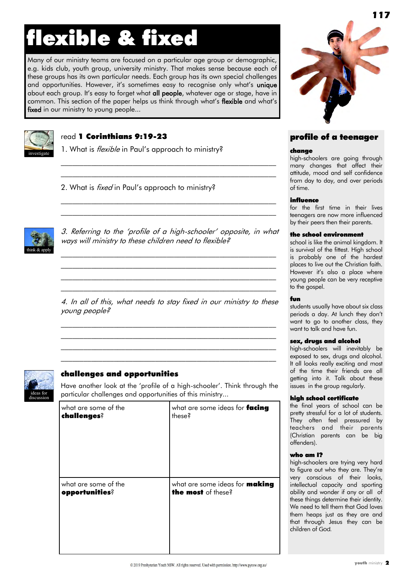# flexible & fixed

Many of our ministry teams are focused on a particular age group or demographic, e.g. kids club, youth group, university ministry. That makes sense because each of these groups has its own particular needs. Each group has its own special challenges and opportunities. However, it's sometimes easy to recognise only what's unique about each group. It's easy to forget what all people, whatever age or stage, have in common. This section of the paper helps us think through what"s flexible and what"s fixed in our ministry to young people...



# read 1 Corinthians 9:19-23

1. What is *flexible* in Paul's approach to ministry?

2. What is *fixed* in Paul's approach to ministry?



3. Referring to the "profile of a high-schooler" opposite, in what ways will ministry to these children need to flexible?

 $\mathcal{L}_\text{max}$  and the contract of the contract of the contract of the contract of the contract of the contract of  $\mathcal{L}_\text{max}$  and the contract of the contract of the contract of the contract of the contract of the contract of  $\mathcal{L}_\text{max}$  and the contract of the contract of the contract of the contract of the contract of the contract of  $\mathcal{L}_\text{max}$  and the contract of the contract of the contract of the contract of the contract of the contract of

 $\mathcal{L}_\text{max}$  and the contract of the contract of the contract of the contract of the contract of the contract of \_\_\_\_\_\_\_\_\_\_\_\_\_\_\_\_\_\_\_\_\_\_\_\_\_\_\_\_\_\_\_\_\_\_\_\_\_\_\_\_\_\_\_\_\_\_\_\_\_\_\_\_\_\_\_\_\_

 $\mathcal{L}_\text{max}$  and the contract of the contract of the contract of the contract of the contract of the contract of  $\mathcal{L}_\text{max}$  and the contract of the contract of the contract of the contract of the contract of the contract of

4. In all of this, what needs to stay fixed in our ministry to these young people?

 $\mathcal{L}_\text{max}$  and the contract of the contract of the contract of the contract of the contract of the contract of  $\mathcal{L}_\text{max}$  and the contract of the contract of the contract of the contract of the contract of the contract of  $\mathcal{L}_\text{max}$  and the contract of the contract of the contract of the contract of the contract of the contract of  $\mathcal{L}_\text{max}$  and the contract of the contract of the contract of the contract of the contract of the contract of



# challenges and opportunities

Have another look at the "profile of a high-schooler". Think through the particular challenges and opportunities of this ministry...

| what are some of the | what are some ideas for facing        |
|----------------------|---------------------------------------|
| challenges?          | these?                                |
| what are some of the | what are some ideas for <b>making</b> |
| opportunities?       | the most of these?                    |



# profile of a teenager

#### change

high-schoolers are going through many changes that affect their attitude, mood and self confidence from day to day, and over periods of time.

#### influence

for the first time in their lives teenagers are now more influenced by their peers then their parents.

#### the school environment

school is like the animal kingdom. It is survival of the fittest. High school is probably one of the hardest places to live out the Christian faith. However it's also a place where young people can be very receptive to the gospel.

#### fun

students usually have about six class periods a day. At lunch they don"t want to go to another class, they want to talk and have fun.

#### sex, drugs and alcohol

high-schoolers will inevitably be exposed to sex, drugs and alcohol. It all looks really exciting and most of the time their friends are all getting into it. Talk about these issues in the group regularly.

#### high school certificate

the final years of school can be pretty stressful for a lot of students. They often feel pressured by teachers and their parents (Christian parents can be big offenders).

#### who am I?

high-schoolers are trying very hard to figure out who they are. They"re very conscious of their looks, intellectual capacity and sporting ability and wonder if any or all of these things determine their identity. We need to tell them that God loves them heaps just as they are and that through Jesus they can be children of God.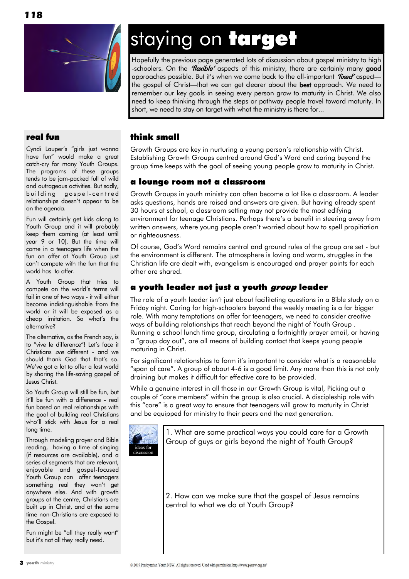

# staying on target

Hopefully the previous page generated lots of discussion about gospel ministry to high -schoolers. On the "*flexible*" aspects of this ministry, there are certainly many good approaches possible. But it's when we come back to the all-important "fixed" aspectthe gospel of Christ—that we can get clearer about the **best** approach. We need to remember our key goals in seeing every person grow to maturity in Christ. We also need to keep thinking through the steps or pathway people travel toward maturity. In short, we need to stay on target with what the ministry is there for...

# real fun

Cyndi Lauper's "girls just wanna have fun" would make a great catch-cry for many Youth Groups. The programs of these groups tends to be jam-packed full of wild and outrageous activities. But sadly, building gospel-centred relationships doesn"t appear to be on the agenda.

Fun will certainly get kids along to Youth Group and it will probably keep them coming (at least until year 9 or 10). But the time will come in a teenagers life when the fun on offer at Youth Group just can"t compete with the fun that the world has to offer.

A Youth Group that tries to compete on the world"s terms will fail in one of two ways - it will either become indistinguishable from the world or it will be exposed as a cheap imitation. So what"s the alternative?

The alternative, as the French say, is to "vive le difference"! Let"s face it Christians are different - and we should thank God that that"s so. We've got a lot to offer a lost world by sharing the life-saving gospel of Jesus Christ.

So Youth Group will still be fun, but it"ll be fun with a difference - real fun based on real relationships with the goal of building real Christians who"ll stick with Jesus for a real long time.

Through modeling prayer and Bible reading, having a time of singing (if resources are available), and a series of segments that are relevant, enjoyable and gospel-focused Youth Group can offer teenagers something real they won't get anywhere else. And with growth groups at the centre, Christians are built up in Christ, and at the same time non-Christians are exposed to the Gospel.

Fun might be "all they really want" but it"s not all they really need.

# think small

Growth Groups are key in nurturing a young person"s relationship with Christ. Establishing Growth Groups centred around God"s Word and caring beyond the group time keeps with the goal of seeing young people grow to maturity in Christ.

# a lounge room not a classroom

Growth Groups in youth ministry can often become a lot like a classroom. A leader asks questions, hands are raised and answers are given. But having already spent 30 hours at school, a classroom setting may not provide the most edifying environment for teenage Christians. Perhaps there"s a benefit in steering away from written answers, where young people aren"t worried about how to spell propitiation or righteousness.

Of course, God"s Word remains central and ground rules of the group are set - but the environment is different. The atmosphere is loving and warm, struggles in the Christian life are dealt with, evangelism is encouraged and prayer points for each other are shared.

# a youth leader not just a youth group leader

The role of a youth leader isn"t just about facilitating questions in a Bible study on a Friday night. Caring for high-schoolers beyond the weekly meeting is a far bigger role. With many temptations on offer for teenagers, we need to consider creative ways of building relationships that reach beyond the night of Youth Group . Running a school lunch time group, circulating a fortnightly prayer email, or having a "group day out", are all means of building contact that keeps young people maturing in Christ.

For significant relationships to form it"s important to consider what is a reasonable "span of care". A group of about 4-6 is a good limit. Any more than this is not only draining but makes it difficult for effective care to be provided.

While a genuine interest in all those in our Growth Group is vital, Picking out a couple of "core members" within the group is also crucial. A discipleship role with this "core" is a great way to ensure that teenagers will grow to maturity in Christ and be equipped for ministry to their peers and the next generation.



1. What are some practical ways you could care for a Growth Group of guys or girls beyond the night of Youth Group?

2. How can we make sure that the gospel of Jesus remains central to what we do at Youth Group?